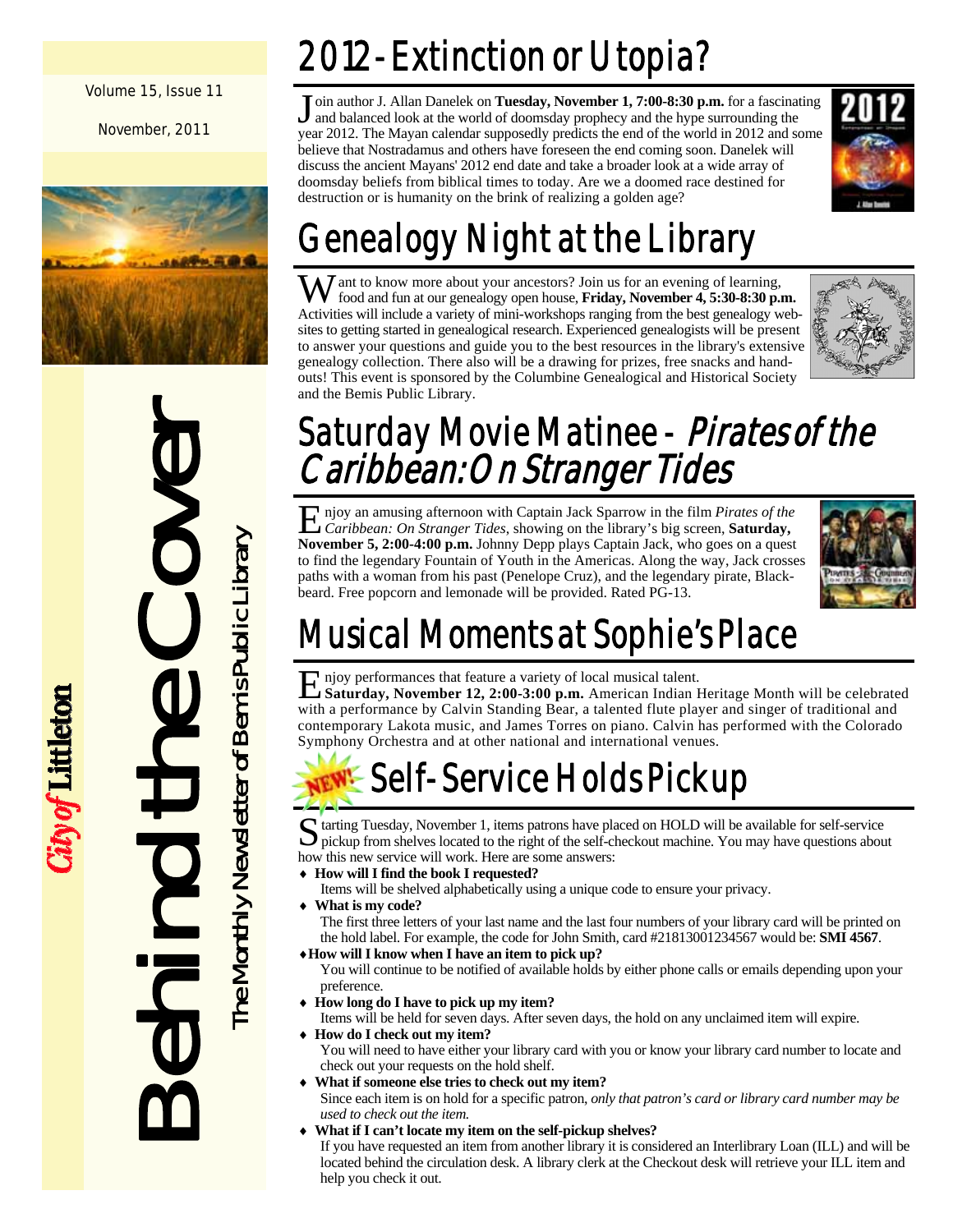Volume 15, Issue 11

November, 2011



Behind the Cover **himit the Conduct of the Monthly Newsletter of Benis Public Library** 

ity of Littleton

The Monthly Newsletter of Bemis Public Library

# 2012-Extinction or Utopia?

oin author J. Allan Danelek on **Tuesday, November 1, 7:00-8:30 p.m.** for a fascinating and balanced look at the world of doomsday prophecy and the hype surrounding the year 2012. The Mayan calendar supposedly predicts the end of the world in 2012 and some believe that Nostradamus and others have foreseen the end coming soon. Danelek will discuss the ancient Mayans' 2012 end date and take a broader look at a wide array of doomsday beliefs from biblical times to today. Are we a doomed race destined for destruction or is humanity on the brink of realizing a golden age?



# Genealogy Night at the Library

 $\mathbf{W}$  ant to know more about your ancestors? Join us for an evening of learning, food and fun at our genealogy open house, **Friday, November 4, 5:30-8:30 p.m.**  Activities will include a variety of mini-workshops ranging from the best genealogy websites to getting started in genealogical research. Experienced genealogists will be present to answer your questions and guide you to the best resources in the library's extensive genealogy collection. There also will be a drawing for prizes, free snacks and handouts! This event is sponsored by the Columbine Genealogical and Historical Society and the Bemis Public Library.



# Saturday Movie Matinee - Pirates of the Caribbean: On Stranger Tides

E njoy an amusing afternoon with Captain Jack Sparrow in the film *Pirates of the Caribbean: On Stranger Tides*, showing on the library's big screen, **Saturday, November 5, 2:00-4:00 p.m.** Johnny Depp plays Captain Jack, who goes on a quest to find the legendary Fountain of Youth in the Americas. Along the way, Jack crosses paths with a woman from his past (Penelope Cruz), and the legendary pirate, Blackbeard. Free popcorn and lemonade will be provided. Rated PG-13.



# Musical Moments at Sophie's Place

E njoy performances that feature a variety of local musical talent. **Saturday, November 12, 2:00-3:00 p.m.** American Indian Heritage Month will be celebrated with a performance by Calvin Standing Bear, a talented flute player and singer of traditional and contemporary Lakota music, and James Torres on piano. Calvin has performed with the Colorado Symphony Orchestra and at other national and international venues.

# Self-Service Holds Pickup

S tarting Tuesday, November 1, items patrons have placed on HOLD will be available for self-service pickup from shelves located to the right of the self-checkout machine. You may have questions about how this new service will work. Here are some answers:

- **How will I find the book I requested?**
- Items will be shelved alphabetically using a unique code to ensure your privacy.
- **What is my code?**

The first three letters of your last name and the last four numbers of your library card will be printed on the hold label. For example, the code for John Smith, card #21813001234567 would be: **SMI 4567**. **How will I know when I have an item to pick up?** 

- You will continue to be notified of available holds by either phone calls or emails depending upon your preference.
- **How long do I have to pick up my item?**
- Items will be held for seven days. After seven days, the hold on any unclaimed item will expire.
- **How do I check out my item?**  You will need to have either your library card with you or know your library card number to locate and check out your requests on the hold shelf.
- **What if someone else tries to check out my item?**  Since each item is on hold for a specific patron, *only that patron's card or library card number may be used to check out the item.*
- **What if I can't locate my item on the self-pickup shelves?**  If you have requested an item from another library it is considered an Interlibrary Loan (ILL) and will be located behind the circulation desk. A library clerk at the Checkout desk will retrieve your ILL item and help you check it out.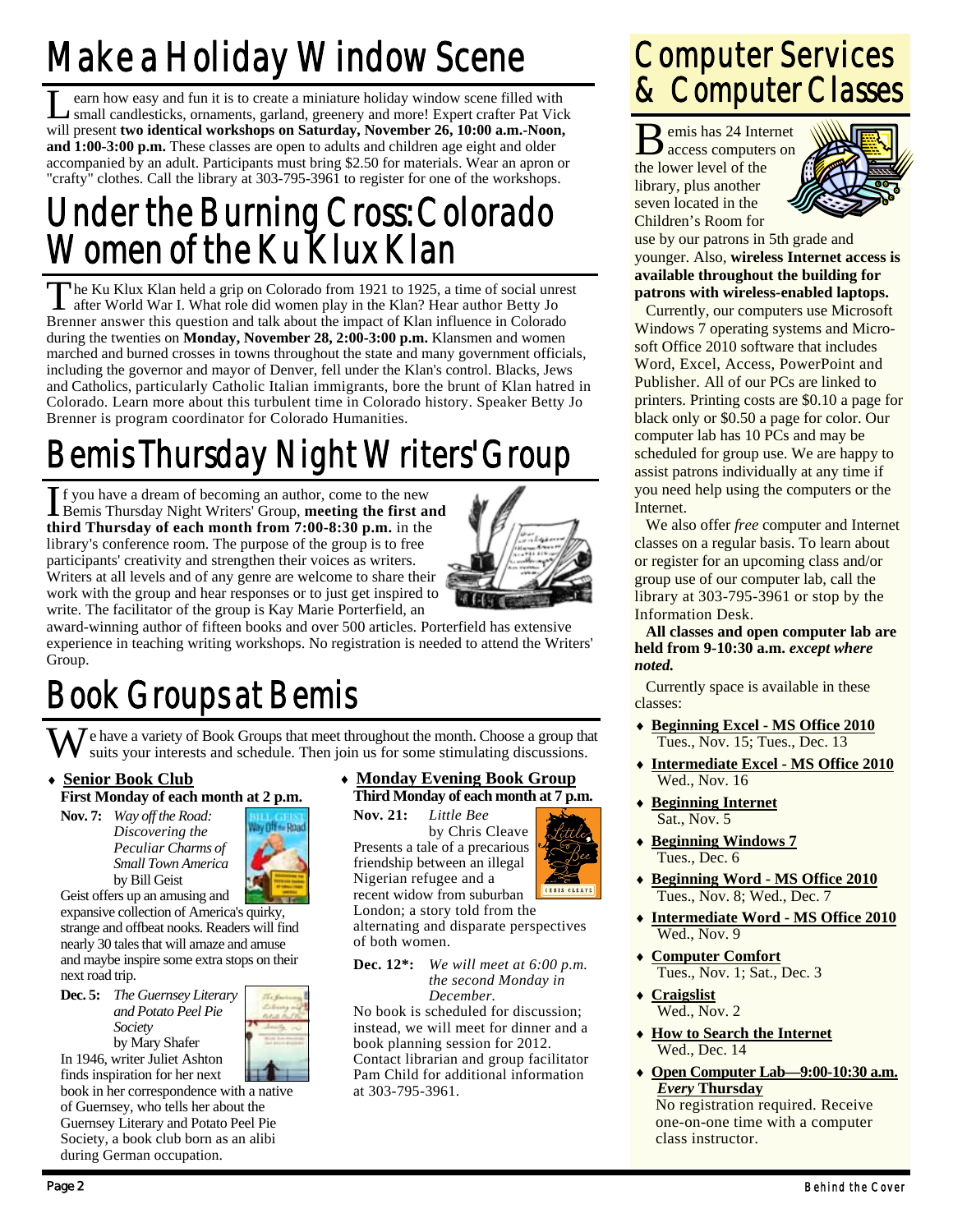# Make a Holiday Window Scene

Learn how easy and fun it is to create a miniature holiday window scene filled with small candlesticks, ornaments, garland, greenery and more! Expert crafter Pat Vick will present **two identical workshops on Saturday, November 26, 10:00 a.m.-Noon, and 1:00-3:00 p.m.** These classes are open to adults and children age eight and older accompanied by an adult. Participants must bring \$2.50 for materials. Wear an apron or "crafty" clothes. Call the library at 303-795-3961 to register for one of the workshops.

#### Under the Burning Cross: Colorado Women of the Ku Klux Klan

The Ku Klux Klan held a grip on Colorado from 1921 to 1925, a time of social unrest after World War I. What role did women play in the Klan? Hear author Betty Jo Brenner answer this question and talk about the impact of Klan influence in Colorado during the twenties on **Monday, November 28, 2:00-3:00 p.m.** Klansmen and women marched and burned crosses in towns throughout the state and many government officials, including the governor and mayor of Denver, fell under the Klan's control. Blacks, Jews and Catholics, particularly Catholic Italian immigrants, bore the brunt of Klan hatred in Colorado. Learn more about this turbulent time in Colorado history. Speaker Betty Jo Brenner is program coordinator for Colorado Humanities.

# Bemis Thursday Night Writers' Group

I f you have a dream of becoming an author, come to the new Bemis Thursday Night Writers' Group, **meeting the first and third Thursday of each month from 7:00-8:30 p.m.** in the library's conference room. The purpose of the group is to free participants' creativity and strengthen their voices as writers. Writers at all levels and of any genre are welcome to share their work with the group and hear responses or to just get inspired to write. The facilitator of the group is Kay Marie Porterfield, an



award-winning author of fifteen books and over 500 articles. Porterfield has extensive experience in teaching writing workshops. No registration is needed to attend the Writers' Group.

# Book Groups at Bemis

W e have a variety of Book Groups that meet throughout the month. Choose a group that suits your interests and schedule. Then join us for some stimulating discussions.

 **Senior Book Club First Monday of each month at 2 p.m.** 

**Nov. 7:** *Way off the Road: Discovering the Peculiar Charms of Small Town America*  **by Bill Geist** 



Geist offers up an amusing and expansive collection of America's quirky,

strange and offbeat nooks. Readers will find nearly 30 tales that will amaze and amuse and maybe inspire some extra stops on their next road trip.



In 1946, writer Juliet Ashton finds inspiration for her next

during German occupation.

book in her correspondence with a native of Guernsey, who tells her about the Guernsey Literary and Potato Peel Pie Society, a book club born as an alibi

#### **Monday Evening Book Group Third Monday of each month at 7 p.m.**

**Nov. 21:** *Little Bee*  by Chris Cleave Presents a tale of a precarious friendship between an illegal Nigerian refugee and a

London; a story told from the alternating and disparate perspectives of both women.

**Dec. 12\*:** *We will meet at 6:00 p.m. the second Monday in December.* 

No book is scheduled for discussion; instead, we will meet for dinner and a book planning session for 2012. Contact librarian and group facilitator Pam Child for additional information at 303-795-3961.

#### Computer Services & Computer Classes

B emis has 24 Internet access computers on the lower level of the library, plus another seven located in the Children's Room for



use by our patrons in 5th grade and younger. Also, **wireless Internet access is available throughout the building for patrons with wireless-enabled laptops.**

 Currently, our computers use Microsoft Windows 7 operating systems and Microsoft Office 2010 software that includes Word, Excel, Access, PowerPoint and Publisher. All of our PCs are linked to printers. Printing costs are \$0.10 a page for black only or \$0.50 a page for color. Our computer lab has 10 PCs and may be scheduled for group use. We are happy to assist patrons individually at any time if you need help using the computers or the Internet.

 We also offer *free* computer and Internet classes on a regular basis. To learn about or register for an upcoming class and/or group use of our computer lab, call the library at 303-795-3961 or stop by the Information Desk.

**All classes and open computer lab are held from 9-10:30 a.m.** *except where noted.* 

 Currently space is available in these classes:

- **Beginning Excel MS Office 2010** Tues., Nov. 15; Tues., Dec. 13
- **Intermediate Excel MS Office 2010** Wed., Nov. 16
- **Beginning Internet** Sat., Nov. 5
- **Beginning Windows 7** Tues., Dec. 6
- **Beginning Word MS Office 2010** Tues., Nov. 8; Wed., Dec. 7
- **Intermediate Word MS Office 2010** Wed., Nov. 9
- **Computer Comfort** Tues., Nov. 1; Sat., Dec. 3

 **Craigslist**  $Wed., Nov. 2$ 

- **How to Search the Internet** Wed., Dec. 14
- **Open Computer Lab—9:00-10:30 a.m.** *Every* **Thursday**

No registration required. Receive one-on-one time with a computer class instructor.

recent widow from suburban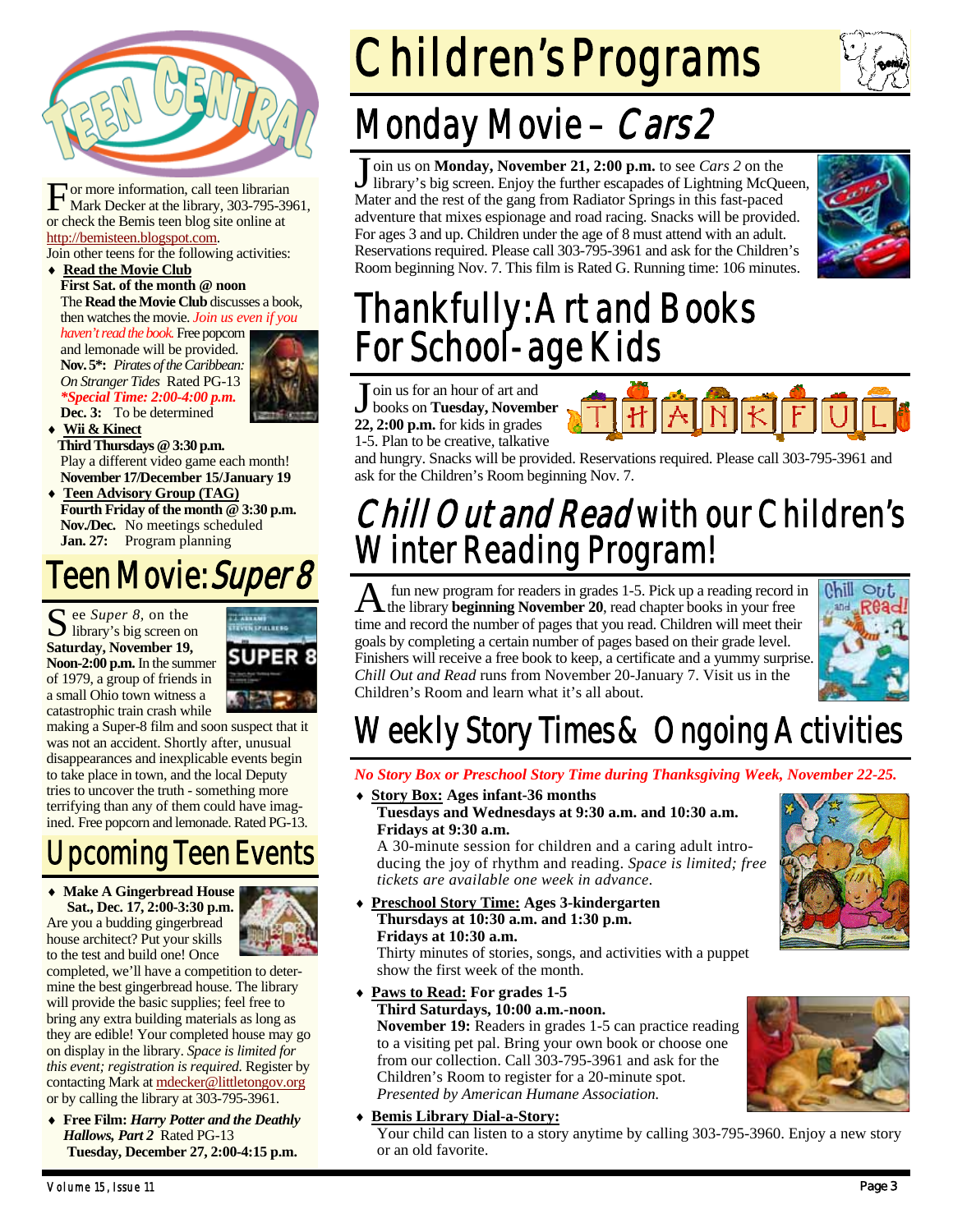

For more information, call teen librarian<br>Mark Decker at the library, 303-795-3961, or check the Bemis teen blog site online at http://bemisteen.blogspot.com.

Join other teens for the following activities:

#### **Read the Movie Club First Sat. of the month @ noon**

The **Read the Movie Club** discusses a book, then watches the movie. *Join us even if you* 

*haven't read the book.* Free popcorn and lemonade will be provided. **Nov. 5\*:** *Pirates of the Caribbean: On Stranger Tides* Rated PG-13 *\*Special Time: 2:00-4:00 p.m.*  **Dec. 3:** To be determined



 **Wii & Kinect Third Thursdays @ 3:30 p.m.**  Play a different video game each month! **November 17/December 15/January 19** 

 **Teen Advisory Group (TAG) Fourth Friday of the month @ 3:30 p.m. Nov./Dec.** No meetings scheduled **Jan. 27:** Program planning

#### Teen Movie: *Super 8*

S ee *Super 8*, on the library's big screen on **Saturday, November 19, Noon-2:00 p.m.** In the summer of 1979, a group of friends in a small Ohio town witness a catastrophic train crash while



making a Super-8 film and soon suspect that it was not an accident. Shortly after, unusual disappearances and inexplicable events begin to take place in town, and the local Deputy tries to uncover the truth - something more terrifying than any of them could have imagined. Free popcorn and lemonade. Rated PG-13.

### Upcoming Teen Events

 **Make A Gingerbread House Sat., Dec. 17, 2:00-3:30 p.m.**  Are you a budding gingerbread house architect? Put your skills to the test and build one! Once



completed, we'll have a competition to determine the best gingerbread house. The library will provide the basic supplies; feel free to bring any extra building materials as long as they are edible! Your completed house may go on display in the library. *Space is limited for this event; registration is required.* Register by contacting Mark at mdecker@littletongov.org or by calling the library at 303-795-3961.

 **Free Film:** *Harry Potter and the Deathly Hallows, Part 2* Rated PG-13 **Tuesday, December 27, 2:00-4:15 p.m.** 

Children's Programs

# Monday Movie - Cars 2

J oin us on **Monday, November 21, 2:00 p.m.** to see *Cars 2* on the library's big screen. Enjoy the further escapades of Lightning McQueen, Mater and the rest of the gang from Radiator Springs in this fast-paced adventure that mixes espionage and road racing. Snacks will be provided. For ages 3 and up. Children under the age of 8 must attend with an adult. Reservations required. Please call 303-795-3961 and ask for the Children's Room beginning Nov. 7. This film is Rated G. Running time: 106 minutes.



### Thankfully: Art and Books For School-age Kids

 $\overline{\phantom{a}}$  oin us for an hour of art and books on **Tuesday, November 22, 2:00 p.m.** for kids in grades 1-5. Plan to be creative, talkative



and hungry. Snacks will be provided. Reservations required. Please call 303-795-3961 and ask for the Children's Room beginning Nov. 7.

#### Chill Out and Read with our Children's Winter Reading Program!

fun new program for readers in grades 1-5. Pick up a reading record in the library **beginning November 20**, read chapter books in your free time and record the number of pages that you read. Children will meet their goals by completing a certain number of pages based on their grade level. Finishers will receive a free book to keep, a certificate and a yummy surprise. *Chill Out and Read* runs from November 20-January 7. Visit us in the Children's Room and learn what it's all about.



## Weekly Story Times & Ongoing Activities

*No Story Box or Preschool Story Time during Thanksgiving Week, November 22-25.* 

 **Story Box: Ages infant-36 months Tuesdays and Wednesdays at 9:30 a.m. and 10:30 a.m. Fridays at 9:30 a.m.** 

A 30-minute session for children and a caring adult introducing the joy of rhythm and reading. *Space is limited; free tickets are available one week in advance.* 

 **Preschool Story Time: Ages 3-kindergarten Thursdays at 10:30 a.m. and 1:30 p.m. Fridays at 10:30 a.m.** 

Thirty minutes of stories, songs, and activities with a puppet show the first week of the month.

 **Paws to Read: For grades 1-5 Third Saturdays, 10:00 a.m.-noon.** 

**November 19:** Readers in grades 1-5 can practice reading to a visiting pet pal. Bring your own book or choose one from our collection. Call 303-795-3961 and ask for the Children's Room to register for a 20-minute spot. *Presented by American Humane Association.* 

#### **Bemis Library Dial-a-Story:**

Your child can listen to a story anytime by calling 303-795-3960. Enjoy a new story or an old favorite.